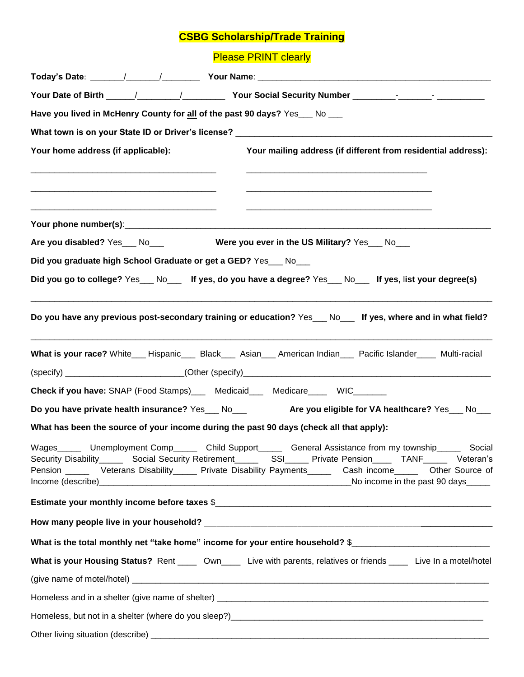## **CSBG Scholarship/Trade Training**

**Please PRINT clearly** 

| Have you lived in McHenry County for all of the past 90 days? Yes_ No __                                                                                                                                                                                                                                                                          |
|---------------------------------------------------------------------------------------------------------------------------------------------------------------------------------------------------------------------------------------------------------------------------------------------------------------------------------------------------|
|                                                                                                                                                                                                                                                                                                                                                   |
| Your mailing address (if different from residential address):<br>Your home address (if applicable):                                                                                                                                                                                                                                               |
|                                                                                                                                                                                                                                                                                                                                                   |
| Are you disabled? Yes___ No___<br>Were you ever in the US Military? Yes___ No___                                                                                                                                                                                                                                                                  |
| Did you graduate high School Graduate or get a GED? Yes_ No_                                                                                                                                                                                                                                                                                      |
| Did you go to college? Yes ___ No___ If yes, do you have a degree? Yes ___ No___ If yes, list your degree(s)                                                                                                                                                                                                                                      |
| Do you have any previous post-secondary training or education? Yes __ No___ If yes, where and in what field?                                                                                                                                                                                                                                      |
| What is your race? White__ Hispanic__ Black__ Asian__ American Indian__ Pacific Islander___ Multi-racial                                                                                                                                                                                                                                          |
|                                                                                                                                                                                                                                                                                                                                                   |
| Check if you have: SNAP (Food Stamps)___ Medicaid___ Medicare____ WIC______                                                                                                                                                                                                                                                                       |
| Do you have private health insurance? Yes___ No___ Are you eligible for VA healthcare? Yes___ No___                                                                                                                                                                                                                                               |
| What has been the source of your income during the past 90 days (check all that apply):                                                                                                                                                                                                                                                           |
| Unemployment Comp_______ Child Support_______ General Assistance from my township__<br>Wages_<br>Social<br>Security Disability_______ Social Security Retirement________ SSI______ Private Pension______ TANF_______ Veteran's<br>Pension ______ Veterans Disability ______ Private Disability Payments ______ Cash income ______ Other Source of |
|                                                                                                                                                                                                                                                                                                                                                   |
|                                                                                                                                                                                                                                                                                                                                                   |
| What is the total monthly net "take home" income for your entire household? \$                                                                                                                                                                                                                                                                    |
| What is your Housing Status? Rent _____ Own_____ Live with parents, relatives or friends ____ Live In a motel/hotel                                                                                                                                                                                                                               |
|                                                                                                                                                                                                                                                                                                                                                   |
|                                                                                                                                                                                                                                                                                                                                                   |
|                                                                                                                                                                                                                                                                                                                                                   |
|                                                                                                                                                                                                                                                                                                                                                   |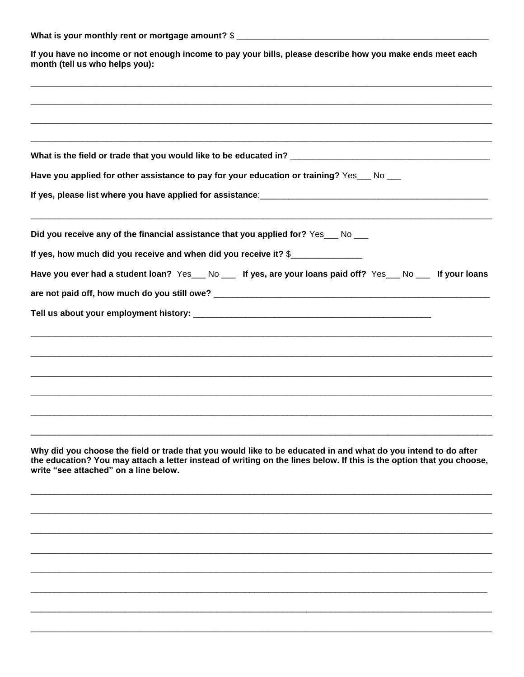| What is your monthly rent or mortgage amount? \$ |  |  |
|--------------------------------------------------|--|--|
|                                                  |  |  |

If you have no income or not enough income to pay your bills, please describe how you make ends meet each month (tell us who helps you):

| Have you applied for other assistance to pay for your education or training? Yes home-                                                                                                                                                                                          |
|---------------------------------------------------------------------------------------------------------------------------------------------------------------------------------------------------------------------------------------------------------------------------------|
| If yes, please list where you have applied for assistance: <b>with the set of the set of the set of the set of the set of the set of the set of the set of the set of the set of the set of the set of the set of the set of the</b>                                            |
| Did you receive any of the financial assistance that you applied for? Yes No __                                                                                                                                                                                                 |
| If yes, how much did you receive and when did you receive it? \$                                                                                                                                                                                                                |
| Have you ever had a student loan? Yes__No __ If yes, are your loans paid off? Yes__No __ If your loans                                                                                                                                                                          |
|                                                                                                                                                                                                                                                                                 |
|                                                                                                                                                                                                                                                                                 |
|                                                                                                                                                                                                                                                                                 |
|                                                                                                                                                                                                                                                                                 |
|                                                                                                                                                                                                                                                                                 |
|                                                                                                                                                                                                                                                                                 |
|                                                                                                                                                                                                                                                                                 |
|                                                                                                                                                                                                                                                                                 |
| Why did you choose the field or trade that you would like to be educated in and what do you intend to do after<br>the education? You may attach a letter instead of writing on the lines below. If this is the option that you choose,<br>write "see attached" on a line below. |
|                                                                                                                                                                                                                                                                                 |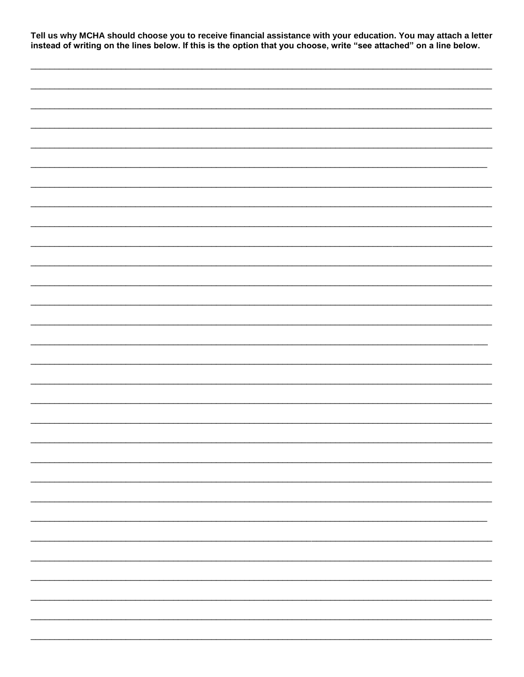Tell us why MCHA should choose you to receive financial assistance with your education. You may attach a letter<br>instead of writing on the lines below. If this is the option that you choose, write "see attached" on a line b

| — |
|---|
|   |
|   |
|   |
|   |
|   |
|   |
|   |
| - |
|   |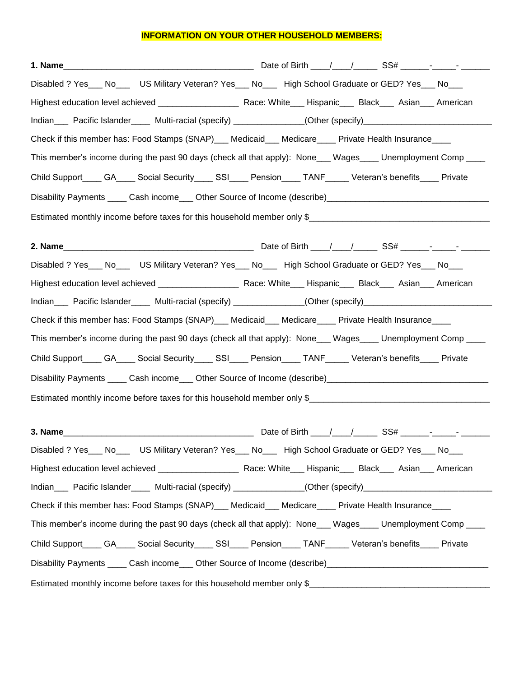## **INFORMATION ON YOUR OTHER HOUSEHOLD MEMBERS:**

| 1 <b>. Name_________________________________</b> Date of Birth ____/_______SS# ______- <sub>_</sub> _____-     |  |  |  |  |
|----------------------------------------------------------------------------------------------------------------|--|--|--|--|
| Disabled ? Yes___ No___ US Military Veteran? Yes___ No___ High School Graduate or GED? Yes___ No___            |  |  |  |  |
|                                                                                                                |  |  |  |  |
| Indian___ Pacific Islander____ Multi-racial (specify) ____________(Other (specify)________________________     |  |  |  |  |
| Check if this member has: Food Stamps (SNAP)___ Medicaid___ Medicare____ Private Health Insurance____          |  |  |  |  |
| This member's income during the past 90 days (check all that apply): None___ Wages____ Unemployment Comp ____  |  |  |  |  |
| Child Support____ GA____ Social Security____ SSI____ Pension____ TANF_____ Veteran's benefits____ Private      |  |  |  |  |
| Disability Payments _____ Cash income____ Other Source of Income (describe)__________________________________  |  |  |  |  |
| Estimated monthly income before taxes for this household member only \$                                        |  |  |  |  |
|                                                                                                                |  |  |  |  |
|                                                                                                                |  |  |  |  |
| Disabled ? Yes___ No___ US Military Veteran? Yes___ No___ High School Graduate or GED? Yes___ No___            |  |  |  |  |
|                                                                                                                |  |  |  |  |
| Indian____ Pacific Islander_____ Multi-racial (specify) ______________(Other (specify)________________________ |  |  |  |  |
| Check if this member has: Food Stamps (SNAP)___ Medicaid___ Medicare____ Private Health Insurance____          |  |  |  |  |
| This member's income during the past 90 days (check all that apply): None___ Wages____ Unemployment Comp ____  |  |  |  |  |
| Child Support____ GA____ Social Security____ SSI____ Pension____ TANF_____ Veteran's benefits____ Private      |  |  |  |  |
| Disability Payments _____ Cash income____ Other Source of Income (describe)___________________________________ |  |  |  |  |
|                                                                                                                |  |  |  |  |
|                                                                                                                |  |  |  |  |
|                                                                                                                |  |  |  |  |
| Disabled ? Yes___ No___ US Military Veteran? Yes___ No___ High School Graduate or GED? Yes___ No___            |  |  |  |  |
|                                                                                                                |  |  |  |  |
| Indian___ Pacific Islander____ Multi-racial (specify) ___________(Other (specify)_________________________     |  |  |  |  |
| Check if this member has: Food Stamps (SNAP)___ Medicaid___ Medicare____ Private Health Insurance____          |  |  |  |  |
| This member's income during the past 90 days (check all that apply): None___ Wages____ Unemployment Comp ____  |  |  |  |  |
| Child Support____ GA____ Social Security____ SSI____ Pension____ TANF_____ Veteran's benefits____ Private      |  |  |  |  |
| Disability Payments _____ Cash income____ Other Source of Income (describe)___________________________________ |  |  |  |  |
|                                                                                                                |  |  |  |  |